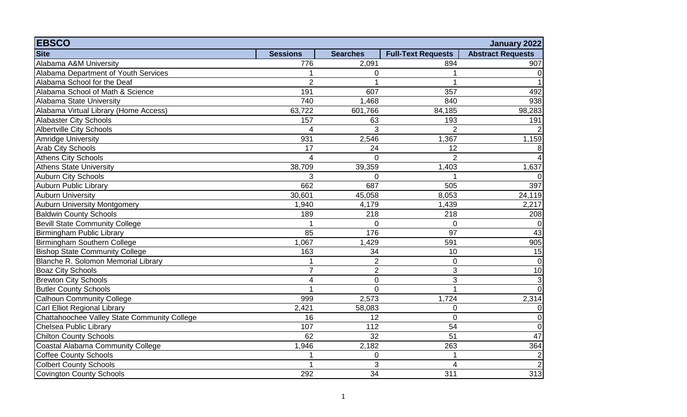| <b>EBSCO</b>                                 |                 |                  |                           | January 2022             |
|----------------------------------------------|-----------------|------------------|---------------------------|--------------------------|
| <b>Site</b>                                  | <b>Sessions</b> | <b>Searches</b>  | <b>Full-Text Requests</b> | <b>Abstract Requests</b> |
| Alabama A&M University                       | 776             | 2,091            | 894                       | 907                      |
| Alabama Department of Youth Services         |                 | $\mathbf 0$      |                           | $\overline{0}$           |
| Alabama School for the Deaf                  | $\overline{2}$  |                  |                           |                          |
| Alabama School of Math & Science             | 191             | 607              | 357                       | 492                      |
| Alabama State University                     | 740             | 1,468            | 840                       | 938                      |
| Alabama Virtual Library (Home Access)        | 63,722          | 601,766          | 84,185                    | 98,283                   |
| <b>Alabaster City Schools</b>                | 157             | 63               | 193                       | 191                      |
| <b>Albertville City Schools</b>              | $\Delta$        | 3                | 2                         | $\overline{2}$           |
| <b>Amridge University</b>                    | 931             | 2,546            | 1,367                     | 1,159                    |
| <b>Arab City Schools</b>                     | 17              | 24               | 12                        | 8                        |
| Athens City Schools                          | $\overline{A}$  | $\Omega$         | $\overline{2}$            | $\overline{4}$           |
| Athens State University                      | 38,709          | 39,359           | 1,403                     | 1,637                    |
| <b>Auburn City Schools</b>                   | 3               | $\Omega$         |                           | $\Omega$                 |
| <b>Auburn Public Library</b>                 | 662             | 687              | 505                       | 397                      |
| <b>Auburn University</b>                     | 30,601          | 45,058           | 8,053                     | 24,119                   |
| <b>Auburn University Montgomery</b>          | 1,940           | 4,179            | 1,439                     | 2,217                    |
| <b>Baldwin County Schools</b>                | 189             | 218              | 218                       | 208                      |
| <b>Bevill State Community College</b>        |                 | $\mathbf 0$      | $\mathbf 0$               | $\overline{0}$           |
| Birmingham Public Library                    | 85              | 176              | 97                        | 43                       |
| Birmingham Southern College                  | 1,067           | 1,429            | 591                       | 905                      |
| <b>Bishop State Community College</b>        | 163             | 34               | 10                        | 15                       |
| Blanche R. Solomon Memorial Library          |                 | $\overline{2}$   | 0                         | $\overline{0}$           |
| <b>Boaz City Schools</b>                     | $\overline{7}$  | $\overline{2}$   | 3                         | 10                       |
| <b>Brewton City Schools</b>                  | 4               | $\mathbf 0$      | 3                         | $\overline{\mathbf{3}}$  |
| <b>Butler County Schools</b>                 | 1               | $\overline{0}$   |                           | $\overline{0}$           |
| <b>Calhoun Community College</b>             | 999             | 2,573            | 1,724                     | 2,314                    |
| Carl Elliot Regional Library                 | 2,421           | 58,083           | $\overline{0}$            | 0                        |
| Chattahoochee Valley State Community College | 16              | 12               | $\overline{0}$            | $\overline{0}$           |
| Chelsea Public Library                       | 107             | 112              | 54                        | $\overline{0}$           |
| <b>Chilton County Schools</b>                | 62              | 32               | 51                        | 47                       |
| Coastal Alabama Community College            | 1,946           | 2,182            | 263                       | 364                      |
| Coffee County Schools                        |                 | $\boldsymbol{0}$ |                           | $\sqrt{2}$               |
| <b>Colbert County Schools</b>                | 1               | 3                | 4                         | $\overline{2}$           |
| Covington County Schools                     | 292             | 34               | 311                       | 313                      |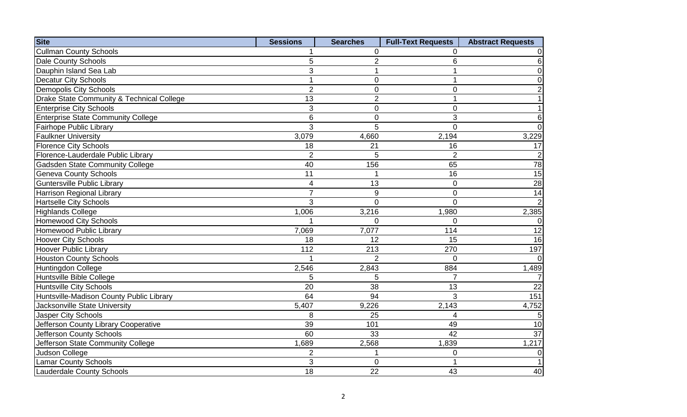| <b>Site</b>                               | <b>Sessions</b>          | <b>Searches</b> | <b>Full-Text Requests</b> | <b>Abstract Requests</b> |
|-------------------------------------------|--------------------------|-----------------|---------------------------|--------------------------|
| <b>Cullman County Schools</b>             |                          | 0               | 0                         | 0                        |
| Dale County Schools                       | 5                        | $\overline{2}$  | 6                         | $\,6$                    |
| Dauphin Island Sea Lab                    | 3                        | 1               |                           | $\boldsymbol{0}$         |
| Decatur City Schools                      | $\overline{\phantom{a}}$ | $\overline{0}$  | 1                         | $\mathbf 0$              |
| Demopolis City Schools                    | $\overline{2}$           | $\mathbf 0$     | $\overline{0}$            | $\overline{2}$           |
| Drake State Community & Technical College | 13                       | $\overline{2}$  |                           | $\mathbf 1$              |
| <b>Enterprise City Schools</b>            | 3                        | 0               | 0                         | $\mathbf 1$              |
| <b>Enterprise State Community College</b> | $6\phantom{1}6$          | $\mathbf 0$     | 3                         | $\,6\,$                  |
| Fairhope Public Library                   | 3                        | 5               | $\overline{0}$            | $\mathbf 0$              |
| <b>Faulkner University</b>                | 3,079                    | 4,660           | 2,194                     | 3,229                    |
| <b>Florence City Schools</b>              | 18                       | 21              | 16                        | 17                       |
| Florence-Lauderdale Public Library        | $\overline{2}$           | 5               | $\overline{2}$            | $\overline{2}$           |
| <b>Gadsden State Community College</b>    | 40                       | 156             | 65                        | 78                       |
| <b>Geneva County Schools</b>              | 11                       |                 | 16                        | 15                       |
| <b>Guntersville Public Library</b>        | $\overline{\mathcal{A}}$ | 13              | 0                         | $\overline{28}$          |
| Harrison Regional Library                 | $\overline{7}$           | $9\,$           | $\mathbf 0$               | 14                       |
| <b>Hartselle City Schools</b>             | 3                        | $\overline{0}$  | $\Omega$                  | $\overline{2}$           |
| <b>Highlands College</b>                  | 1,006                    | 3,216           | 1,980                     | 2,385                    |
| Homewood City Schools                     |                          | $\Omega$        | $\Omega$                  | $\overline{0}$           |
| Homewood Public Library                   | 7,069                    | 7,077           | 114                       | 12                       |
| <b>Hoover City Schools</b>                | 18                       | 12              | 15                        | 16                       |
| <b>Hoover Public Library</b>              | 112                      | 213             | 270                       | 197                      |
| <b>Houston County Schools</b>             |                          | $\overline{2}$  | $\Omega$                  | $\overline{0}$           |
| Huntingdon College                        | 2,546                    | 2,843           | 884                       | 1,489                    |
| Huntsville Bible College                  | 5                        | 5               |                           | $\overline{7}$           |
| <b>Huntsville City Schools</b>            | 20                       | 38              | 13                        | $\overline{22}$          |
| Huntsville-Madison County Public Library  | 64                       | 94              | 3                         | 151                      |
| Jacksonville State University             | 5,407                    | 9,226           | 2,143                     | 4,752                    |
| <b>Jasper City Schools</b>                | 8                        | 25              | 4                         | 5                        |
| Jefferson County Library Cooperative      | 39                       | 101             | 49                        | 10                       |
| Jefferson County Schools                  | 60                       | 33              | 42                        | $\overline{37}$          |
| Jefferson State Community College         | 1,689                    | 2,568           | 1,839                     | 1,217                    |
| Judson College                            | $\overline{2}$           | 1               | $\overline{0}$            | $\boldsymbol{0}$         |
| <b>Lamar County Schools</b>               | 3                        | $\mathbf 0$     |                           | $\mathbf{1}$             |
| Lauderdale County Schools                 | 18                       | 22              | 43                        | 40                       |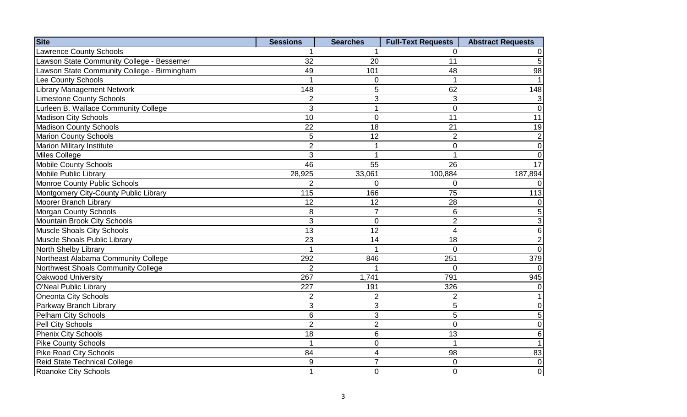| <b>Site</b>                                 | <b>Sessions</b> | <b>Searches</b> | <b>Full-Text Requests</b> | <b>Abstract Requests</b> |
|---------------------------------------------|-----------------|-----------------|---------------------------|--------------------------|
| <b>Lawrence County Schools</b>              |                 |                 | $\Omega$                  | 0                        |
| Lawson State Community College - Bessemer   | 32              | 20              | 11                        | $\overline{5}$           |
| Lawson State Community College - Birmingham | 49              | 101             | 48                        | 98                       |
| Lee County Schools                          |                 | 0               |                           | $\mathbf{1}$             |
| <b>Library Management Network</b>           | 148             | 5               | 62                        | 148                      |
| <b>Limestone County Schools</b>             | $\overline{2}$  | 3               | 3                         | $\mathbf{3}$             |
| Lurleen B. Wallace Community College        | 3               | 1               | $\overline{0}$            | $\overline{0}$           |
| Madison City Schools                        | 10              | $\overline{0}$  | 11                        | 11                       |
| <b>Madison County Schools</b>               | 22              | 18              | 21                        | 19                       |
| <b>Marion County Schools</b>                | 5               | $\overline{12}$ | $\overline{2}$            | $\overline{2}$           |
| <b>Marion Military Institute</b>            | $\overline{2}$  | $\mathbf 1$     | $\mathbf 0$               | $\overline{0}$           |
| Miles College                               | 3               |                 |                           | $\overline{0}$           |
| <b>Mobile County Schools</b>                | 46              | 55              | 26                        | 17                       |
| <b>Mobile Public Library</b>                | 28,925          | 33,061          | 100,884                   | 187,894                  |
| <b>Monroe County Public Schools</b>         | $\overline{2}$  | 0               | 0                         | $\overline{0}$           |
| Montgomery City-County Public Library       | 115             | 166             | 75                        | 113                      |
| Moorer Branch Library                       | 12              | 12              | 28                        | $\pmb{0}$                |
| <b>Morgan County Schools</b>                | 8               | $\overline{7}$  | 6                         | $\overline{5}$           |
| Mountain Brook City Schools                 | 3               | $\mathbf 0$     | $\overline{2}$            | $\mathbf{3}$             |
| Muscle Shoals City Schools                  | 13              | 12              | 4                         | $\sqrt{6}$               |
| Muscle Shoals Public Library                | 23              | 14              | 18                        | $\mathbf{2}$             |
| North Shelby Library                        |                 |                 | $\Omega$                  | $\overline{0}$           |
| Northeast Alabama Community College         | 292             | 846             | 251                       | 379                      |
| Northwest Shoals Community College          | $\overline{2}$  |                 | $\mathbf 0$               | $\overline{0}$           |
| Oakwood University                          | 267             | 1,741           | 791                       | 945                      |
| O'Neal Public Library                       | 227             | 191             | 326                       | $\overline{0}$           |
| <b>Oneonta City Schools</b>                 | 2               | 2               | 2                         | $\mathbf{1}$             |
| Parkway Branch Library                      | 3               | 3               | 5                         | $\overline{0}$           |
| Pelham City Schools                         | $\,6$           | 3               | 5                         | 5                        |
| Pell City Schools                           | $\overline{2}$  | $\overline{2}$  | $\Omega$                  | $\overline{0}$           |
| Phenix City Schools                         | 18              | $6\phantom{1}$  | 13                        | $6 \overline{6}$         |
| <b>Pike County Schools</b>                  | 1               | $\mathbf 0$     | $\blacktriangleleft$      | $\overline{1}$           |
| Pike Road City Schools                      | 84              | 4               | 98                        | 83                       |
| Reid State Technical College                | $9\,$           | $\overline{7}$  | $\Omega$                  | $\boldsymbol{0}$         |
| Roanoke City Schools                        | 1               | $\overline{0}$  | $\overline{0}$            | $\overline{0}$           |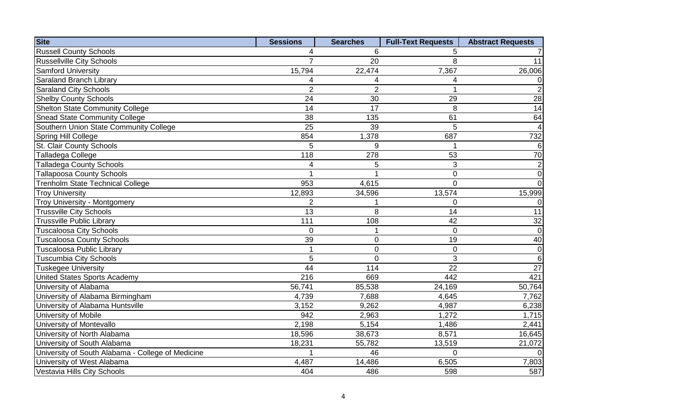| <b>Site</b>                                       | <b>Sessions</b> | <b>Searches</b> | <b>Full-Text Requests</b> | <b>Abstract Requests</b> |
|---------------------------------------------------|-----------------|-----------------|---------------------------|--------------------------|
| <b>Russell County Schools</b>                     | 4               | 6               | 5                         |                          |
| <b>Russellville City Schools</b>                  | $\overline{7}$  | 20              | 8                         | 11                       |
| <b>Samford University</b>                         | 15,794          | 22,474          | 7,367                     | 26,006                   |
| Saraland Branch Library                           | 4               | 4               | 4                         | $\overline{0}$           |
| Saraland City Schools                             | $\overline{2}$  | $\overline{2}$  | 1                         | $\overline{2}$           |
| <b>Shelby County Schools</b>                      | 24              | 30              | 29                        | 28                       |
| <b>Shelton State Community College</b>            | 14              | 17              | 8                         | 14                       |
| <b>Snead State Community College</b>              | 38              | 135             | 61                        | 64                       |
| Southern Union State Community College            | 25              | 39              | 5                         | $\overline{4}$           |
| Spring Hill College                               | 854             | 1,378           | 687                       | 732                      |
| St. Clair County Schools                          | 5               | 9               |                           | 6                        |
| Talladega College                                 | 118             | 278             | 53                        | 70                       |
| <b>Talladega County Schools</b>                   | 4               | 5               | 3                         | $\overline{2}$           |
| <b>Tallapoosa County Schools</b>                  |                 |                 | $\overline{0}$            | $\overline{0}$           |
| Trenholm State Technical College                  | 953             | 4,615           | $\Omega$                  | $\overline{0}$           |
| <b>Troy University</b>                            | 12,893          | 34,596          | 13,574                    | 15,999                   |
| <b>Troy University - Montgomery</b>               | $\overline{2}$  |                 | $\Omega$                  | $\overline{0}$           |
| <b>Trussville City Schools</b>                    | 13              | 8               | 14                        | 11                       |
| Trussville Public Library                         | 111             | 108             | 42                        | 32                       |
| <b>Tuscaloosa City Schools</b>                    | $\overline{0}$  |                 | $\Omega$                  | $\overline{0}$           |
| <b>Tuscaloosa County Schools</b>                  | 39              | $\pmb{0}$       | 19                        | 40                       |
| Tuscaloosa Public Library                         | 1               | $\mathbf 0$     | $\overline{0}$            | $\overline{0}$           |
| Tuscumbia City Schools                            | 5               | $\mathbf 0$     | 3                         | $6 \overline{6}$         |
| Tuskegee University                               | 44              | 114             | 22                        | 27                       |
| <b>United States Sports Academy</b>               | 216             | 669             | 442                       | 421                      |
| University of Alabama                             | 56,741          | 85,538          | 24,169                    | 50,764                   |
| University of Alabama Birmingham                  | 4,739           | 7,688           | 4,645                     | 7,762                    |
| University of Alabama Huntsville                  | 3,152           | 9,262           | 4,987                     | 6,238                    |
| University of Mobile                              | 942             | 2,963           | 1,272                     | 1,715                    |
| University of Montevallo                          | 2,198           | 5,154           | 1,486                     | 2,441                    |
| University of North Alabama                       | 18,596          | 38,673          | 8,571                     | 16,645                   |
| University of South Alabama                       | 18,231          | 55,782          | 13,519                    | 21,072                   |
| University of South Alabama - College of Medicine | 1               | 46              | $\Omega$                  | $\overline{0}$           |
| University of West Alabama                        | 4,487           | 14,486          | 6,505                     | 7,803                    |
| Vestavia Hills City Schools                       | 404             | 486             | 598                       | 587                      |